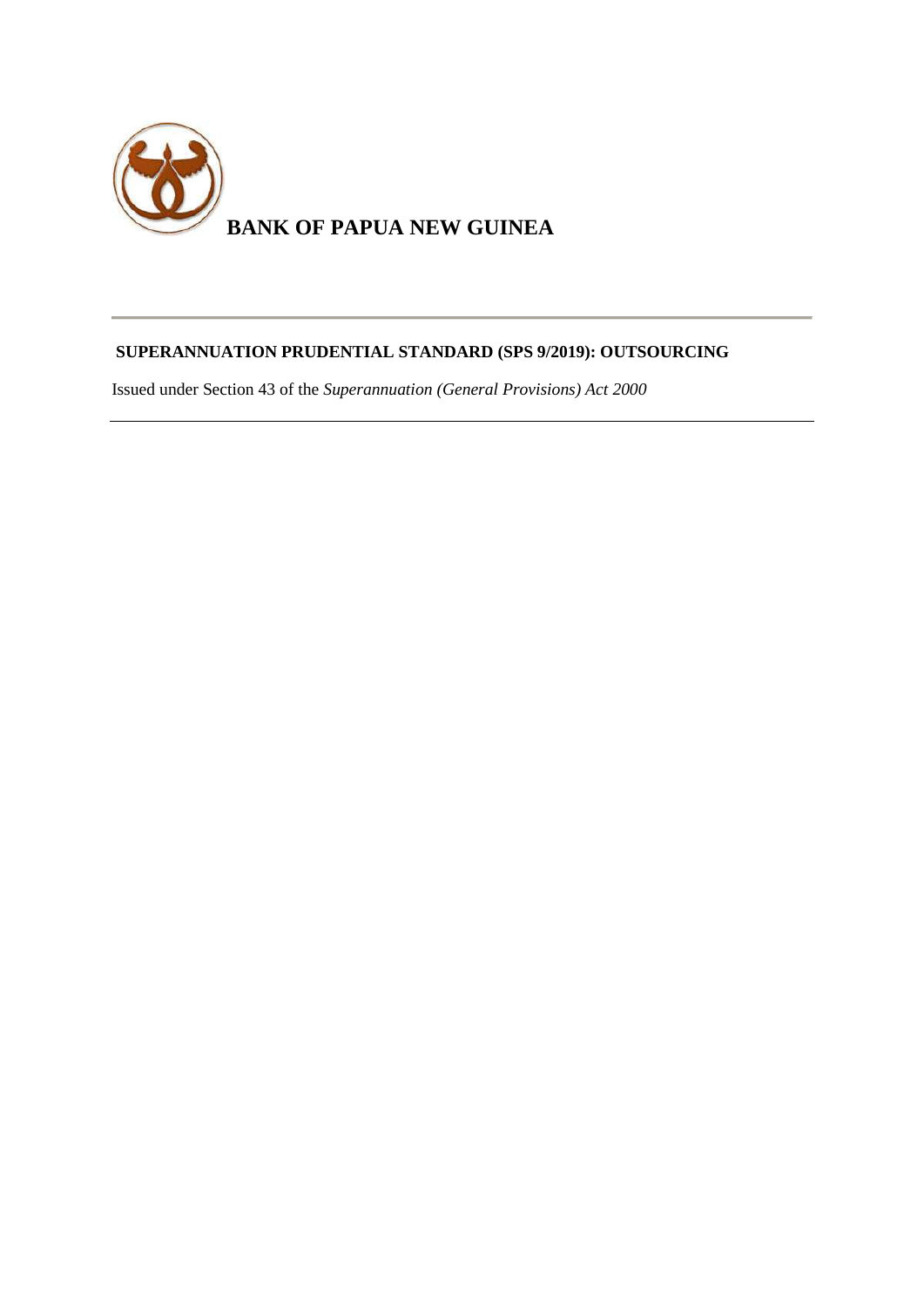

# **SUPERANNUATION PRUDENTIAL STANDARD (SPS 9/2019): OUTSOURCING**

Issued under Section 43 of the *Superannuation (General Provisions) Act 2000*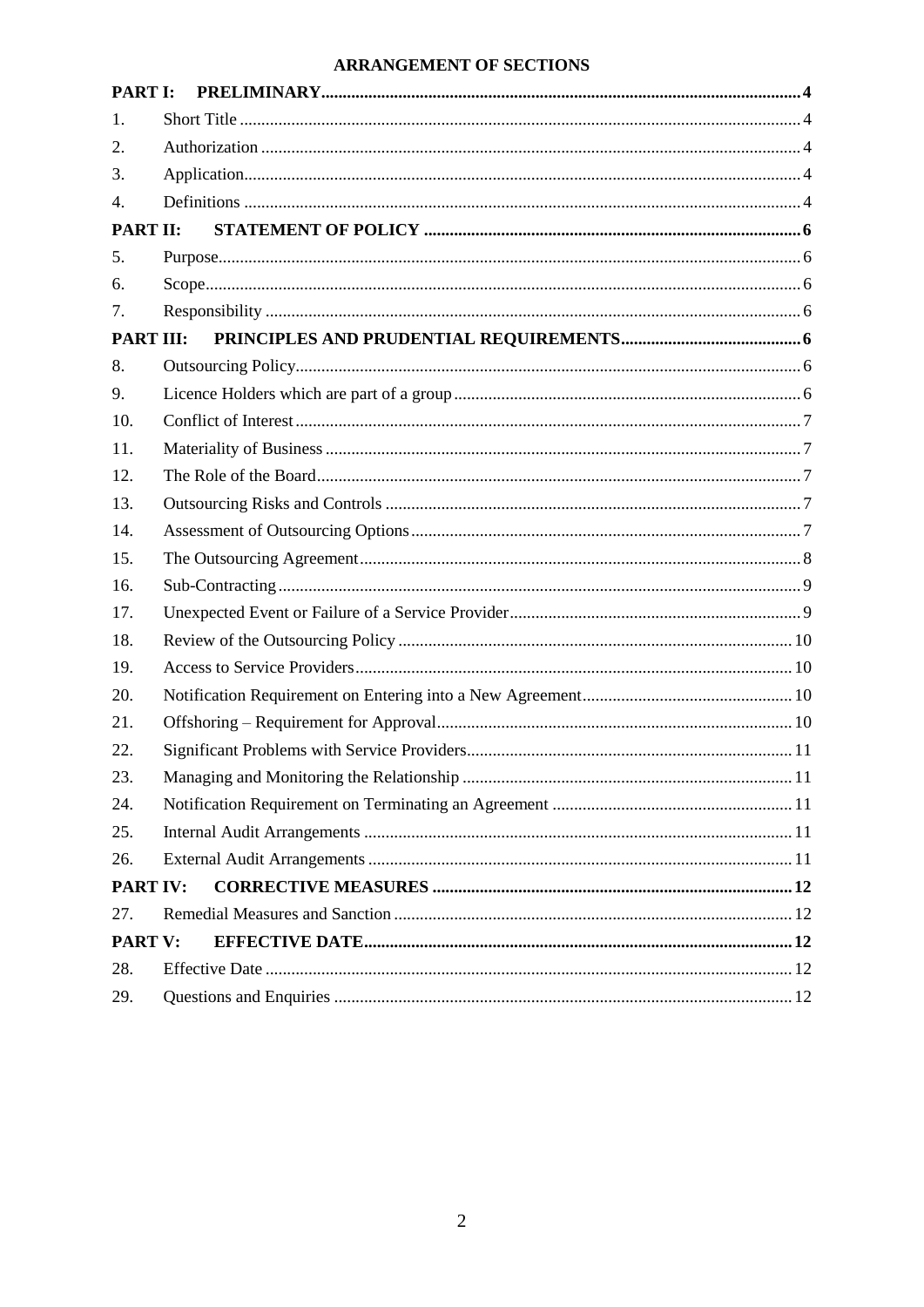# **ARRANGEMENT OF SECTIONS**

| <b>PART I:</b>   |  |  |
|------------------|--|--|
| 1.               |  |  |
| 2.               |  |  |
| 3.               |  |  |
| 4.               |  |  |
| <b>PART II:</b>  |  |  |
| 5.               |  |  |
| 6.               |  |  |
| 7.               |  |  |
| <b>PART III:</b> |  |  |
| 8.               |  |  |
| 9.               |  |  |
| 10.              |  |  |
| 11.              |  |  |
| 12.              |  |  |
| 13.              |  |  |
| 14.              |  |  |
| 15.              |  |  |
| 16.              |  |  |
| 17.              |  |  |
| 18.              |  |  |
| 19.              |  |  |
| 20.              |  |  |
| 21.              |  |  |
| 22.              |  |  |
| 23.              |  |  |
| 24.              |  |  |
| 25.              |  |  |
| 26.              |  |  |
| <b>PART IV:</b>  |  |  |
| 27.              |  |  |
| <b>PART V:</b>   |  |  |
| 28.              |  |  |
| 29.              |  |  |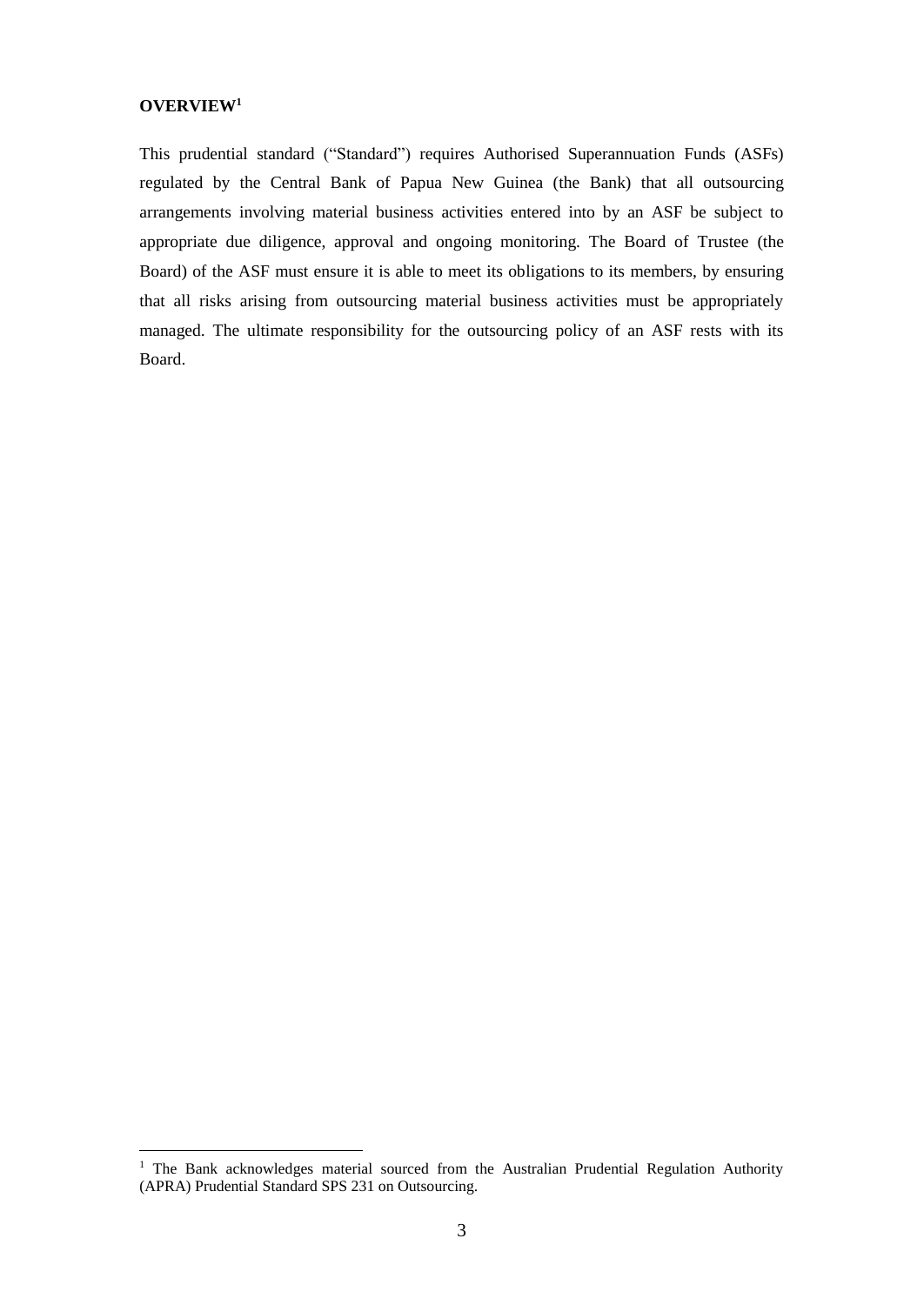#### **OVERVIEW<sup>1</sup>**

<u>.</u>

This prudential standard ("Standard") requires Authorised Superannuation Funds (ASFs) regulated by the Central Bank of Papua New Guinea (the Bank) that all outsourcing arrangements involving material business activities entered into by an ASF be subject to appropriate due diligence, approval and ongoing monitoring. The Board of Trustee (the Board) of the ASF must ensure it is able to meet its obligations to its members, by ensuring that all risks arising from outsourcing material business activities must be appropriately managed. The ultimate responsibility for the outsourcing policy of an ASF rests with its Board.

<sup>&</sup>lt;sup>1</sup> The Bank acknowledges material sourced from the Australian Prudential Regulation Authority (APRA) Prudential Standard SPS 231 on Outsourcing.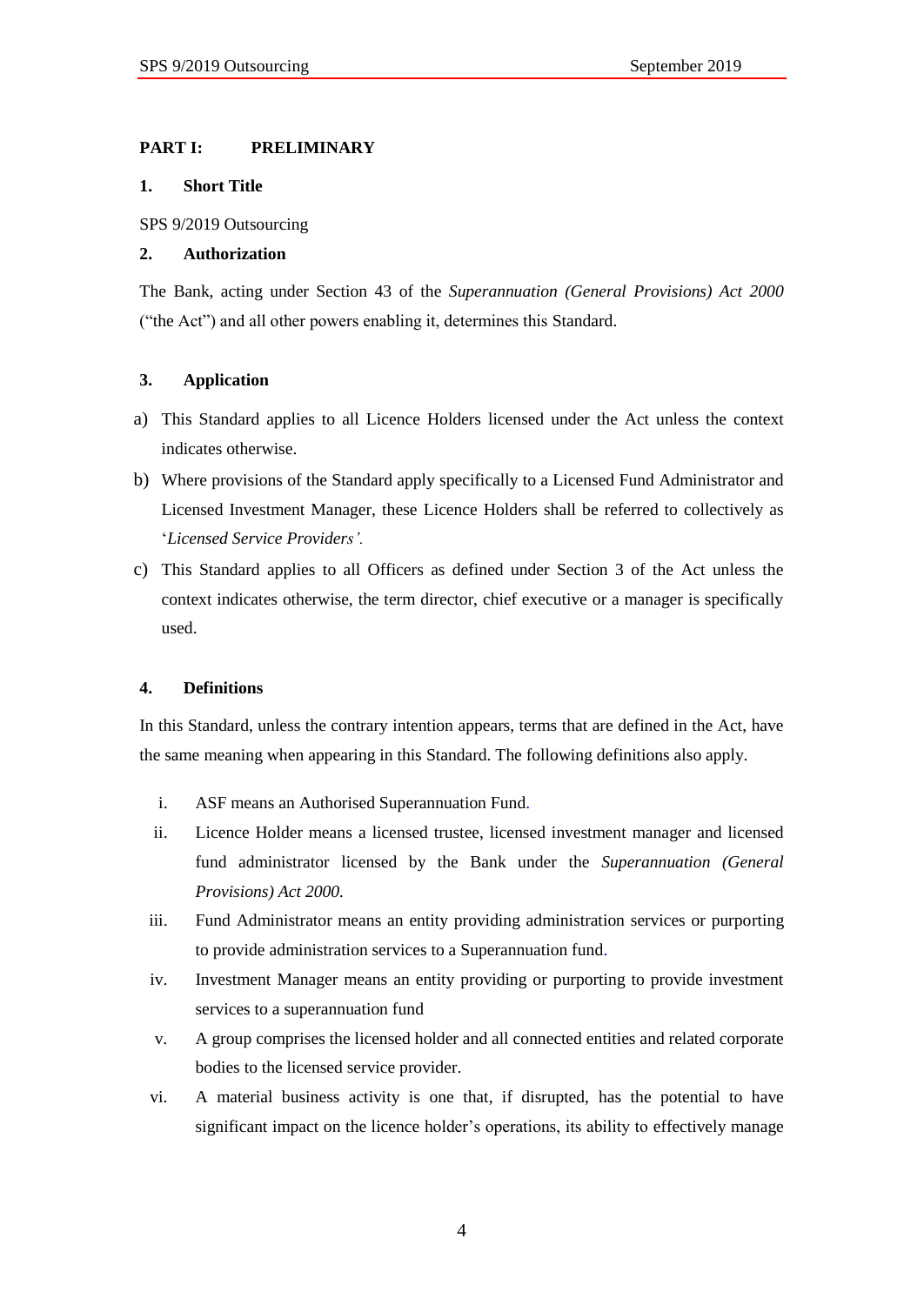# <span id="page-3-0"></span>**PART I: PRELIMINARY**

### <span id="page-3-1"></span>**1. Short Title**

SPS 9/2019 Outsourcing

### <span id="page-3-2"></span>**2. Authorization**

The Bank, acting under Section 43 of the *Superannuation (General Provisions) Act 2000* ("the Act") and all other powers enabling it, determines this Standard.

# <span id="page-3-3"></span>**3. Application**

- a) This Standard applies to all Licence Holders licensed under the Act unless the context indicates otherwise.
- b) Where provisions of the Standard apply specifically to a Licensed Fund Administrator and Licensed Investment Manager, these Licence Holders shall be referred to collectively as '*Licensed Service Providers'.*
- c) This Standard applies to all Officers as defined under Section 3 of the Act unless the context indicates otherwise, the term director, chief executive or a manager is specifically used.

# <span id="page-3-4"></span>**4. Definitions**

In this Standard, unless the contrary intention appears, terms that are defined in the Act, have the same meaning when appearing in this Standard. The following definitions also apply.

- i. ASF means an Authorised Superannuation Fund.
- ii. Licence Holder means a licensed trustee, licensed investment manager and licensed fund administrator licensed by the Bank under the *Superannuation (General Provisions) Act 2000.*
- iii. Fund Administrator means an entity providing administration services or purporting to provide administration services to a Superannuation fund.
- iv. Investment Manager means an entity providing or purporting to provide investment services to a superannuation fund
- v. A group comprises the licensed holder and all connected entities and related corporate bodies to the licensed service provider.
- vi. A material business activity is one that, if disrupted, has the potential to have significant impact on the licence holder's operations, its ability to effectively manage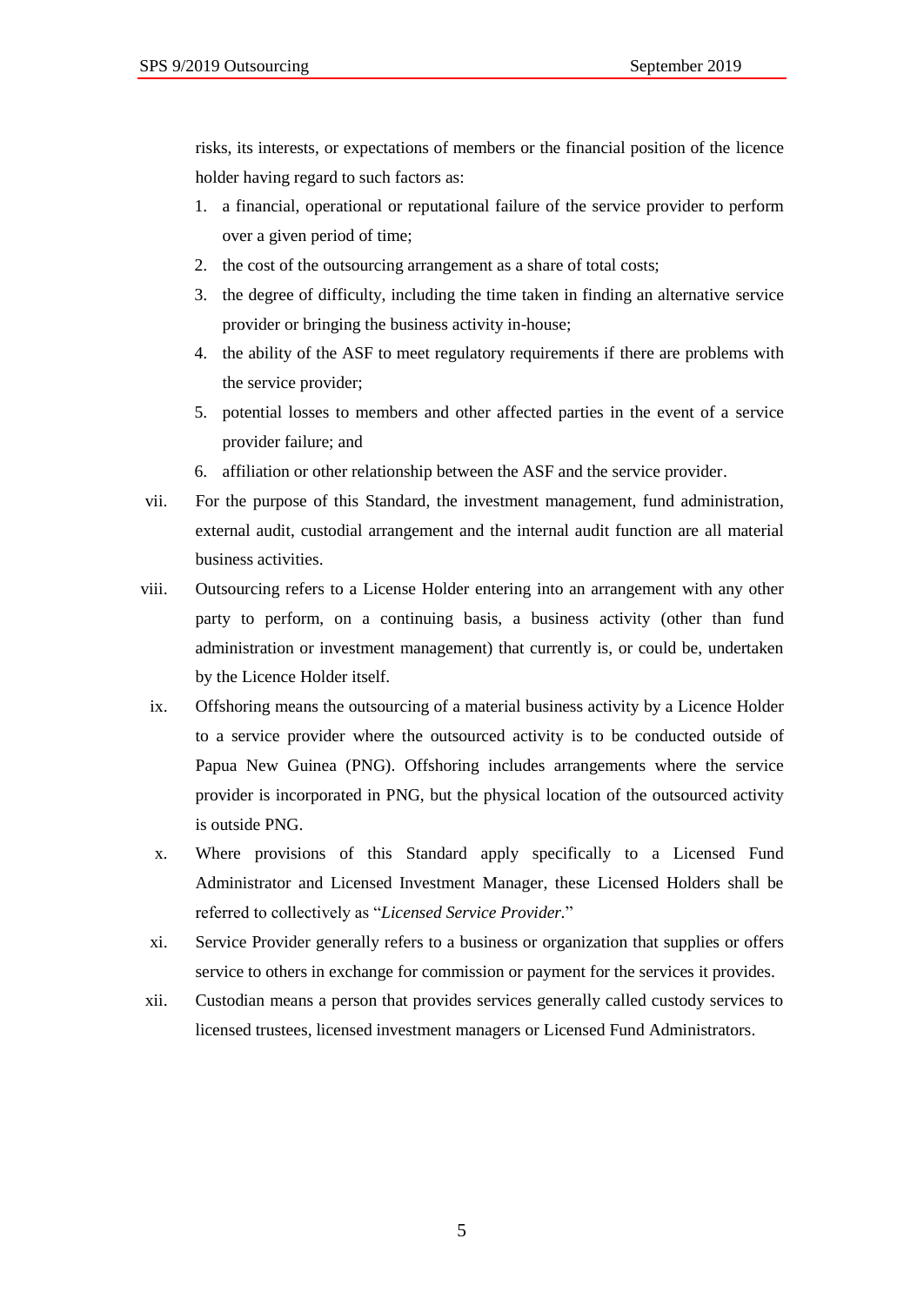risks, its interests, or expectations of members or the financial position of the licence holder having regard to such factors as:

- 1. a financial, operational or reputational failure of the service provider to perform over a given period of time;
- 2. the cost of the outsourcing arrangement as a share of total costs;
- 3. the degree of difficulty, including the time taken in finding an alternative service provider or bringing the business activity in-house;
- 4. the ability of the ASF to meet regulatory requirements if there are problems with the service provider;
- 5. potential losses to members and other affected parties in the event of a service provider failure; and
- 6. affiliation or other relationship between the ASF and the service provider.
- vii. For the purpose of this Standard, the investment management, fund administration, external audit, custodial arrangement and the internal audit function are all material business activities.
- viii. Outsourcing refers to a License Holder entering into an arrangement with any other party to perform, on a continuing basis, a business activity (other than fund administration or investment management) that currently is, or could be, undertaken by the Licence Holder itself.
- ix. Offshoring means the outsourcing of a material business activity by a Licence Holder to a service provider where the outsourced activity is to be conducted outside of Papua New Guinea (PNG). Offshoring includes arrangements where the service provider is incorporated in PNG, but the physical location of the outsourced activity is outside PNG.
- x. Where provisions of this Standard apply specifically to a Licensed Fund Administrator and Licensed Investment Manager, these Licensed Holders shall be referred to collectively as "*Licensed Service Provider.*"
- xi. Service Provider generally refers to a business or organization that supplies or offers service to others in exchange for commission or payment for the services it provides.
- xii. Custodian means a person that provides services generally called custody services to licensed trustees, licensed investment managers or Licensed Fund Administrators.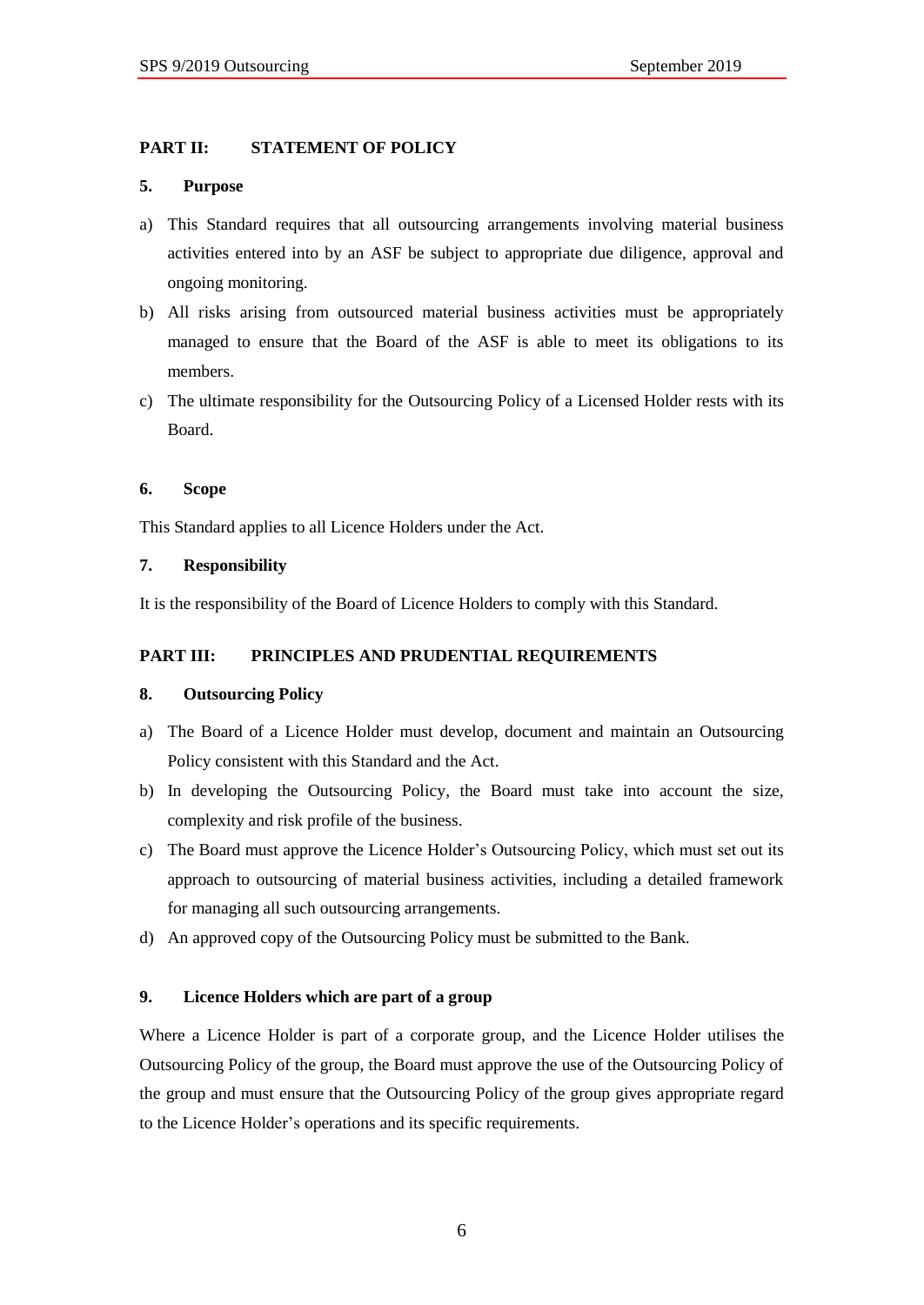# <span id="page-5-0"></span>**PART II: STATEMENT OF POLICY**

### <span id="page-5-1"></span>**5. Purpose**

- a) This Standard requires that all outsourcing arrangements involving material business activities entered into by an ASF be subject to appropriate due diligence, approval and ongoing monitoring.
- b) All risks arising from outsourced material business activities must be appropriately managed to ensure that the Board of the ASF is able to meet its obligations to its members.
- c) The ultimate responsibility for the Outsourcing Policy of a Licensed Holder rests with its Board.

# <span id="page-5-2"></span>**6. Scope**

This Standard applies to all Licence Holders under the Act.

### <span id="page-5-3"></span>**7. Responsibility**

It is the responsibility of the Board of Licence Holders to comply with this Standard.

# <span id="page-5-4"></span>**PART III: PRINCIPLES AND PRUDENTIAL REQUIREMENTS**

# <span id="page-5-5"></span>**8. Outsourcing Policy**

- a) The Board of a Licence Holder must develop, document and maintain an Outsourcing Policy consistent with this Standard and the Act.
- b) In developing the Outsourcing Policy, the Board must take into account the size, complexity and risk profile of the business.
- c) The Board must approve the Licence Holder's Outsourcing Policy, which must set out its approach to outsourcing of material business activities, including a detailed framework for managing all such outsourcing arrangements.
- d) An approved copy of the Outsourcing Policy must be submitted to the Bank.

# <span id="page-5-6"></span>**9. Licence Holders which are part of a group**

Where a Licence Holder is part of a corporate group, and the Licence Holder utilises the Outsourcing Policy of the group, the Board must approve the use of the Outsourcing Policy of the group and must ensure that the Outsourcing Policy of the group gives appropriate regard to the Licence Holder's operations and its specific requirements.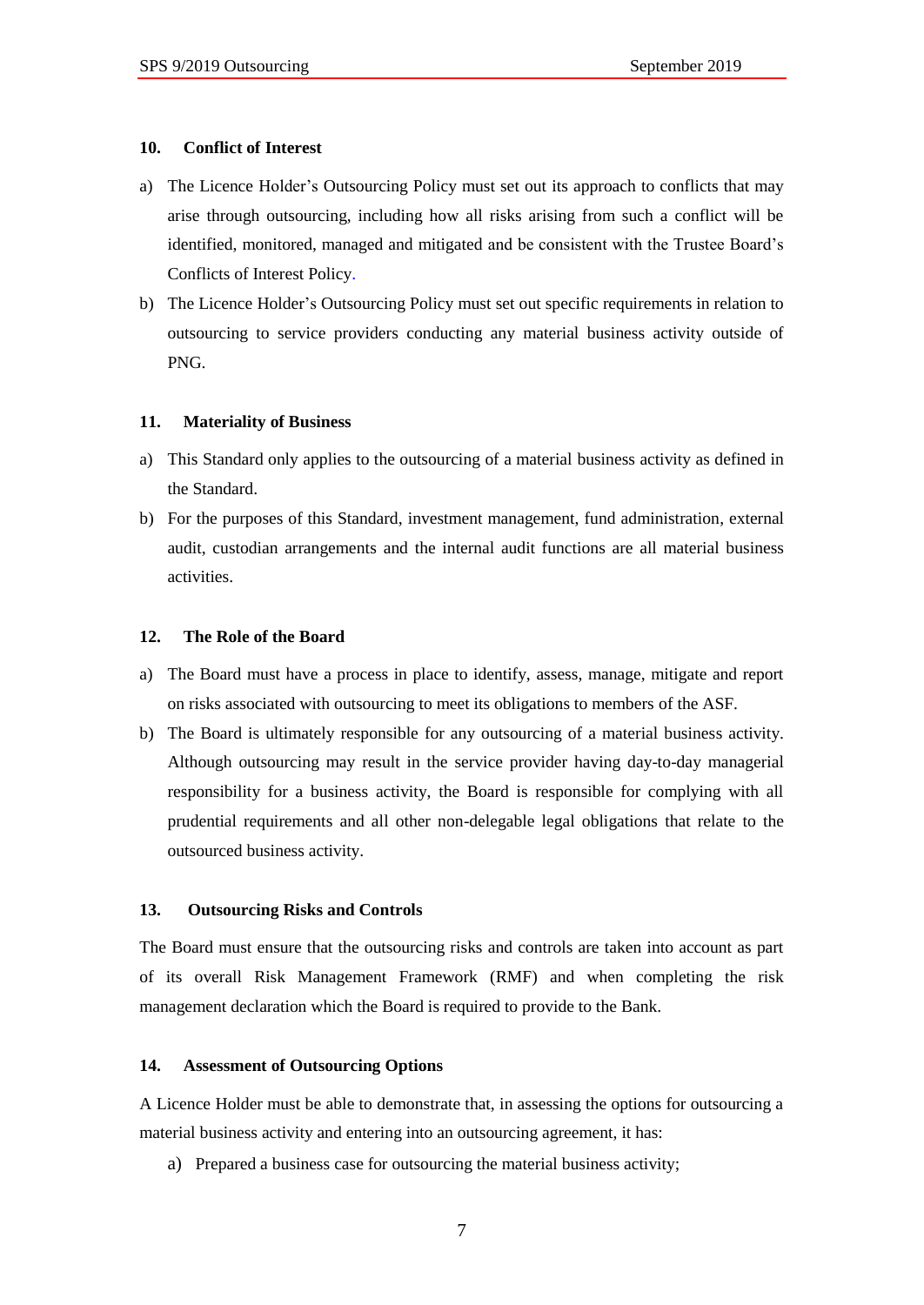#### <span id="page-6-0"></span>**10. Conflict of Interest**

- a) The Licence Holder's Outsourcing Policy must set out its approach to conflicts that may arise through outsourcing, including how all risks arising from such a conflict will be identified, monitored, managed and mitigated and be consistent with the Trustee Board's Conflicts of Interest Policy.
- b) The Licence Holder's Outsourcing Policy must set out specific requirements in relation to outsourcing to service providers conducting any material business activity outside of PNG.

#### <span id="page-6-1"></span>**11. Materiality of Business**

- a) This Standard only applies to the outsourcing of a material business activity as defined in the Standard.
- b) For the purposes of this Standard, investment management, fund administration, external audit, custodian arrangements and the internal audit functions are all material business activities.

### <span id="page-6-2"></span>**12. The Role of the Board**

- a) The Board must have a process in place to identify, assess, manage, mitigate and report on risks associated with outsourcing to meet its obligations to members of the ASF.
- b) The Board is ultimately responsible for any outsourcing of a material business activity. Although outsourcing may result in the service provider having day-to-day managerial responsibility for a business activity, the Board is responsible for complying with all prudential requirements and all other non-delegable legal obligations that relate to the outsourced business activity.

#### <span id="page-6-3"></span>**13. Outsourcing Risks and Controls**

The Board must ensure that the outsourcing risks and controls are taken into account as part of its overall Risk Management Framework (RMF) and when completing the risk management declaration which the Board is required to provide to the Bank.

#### <span id="page-6-4"></span>**14. Assessment of Outsourcing Options**

A Licence Holder must be able to demonstrate that, in assessing the options for outsourcing a material business activity and entering into an outsourcing agreement, it has:

a) Prepared a business case for outsourcing the material business activity;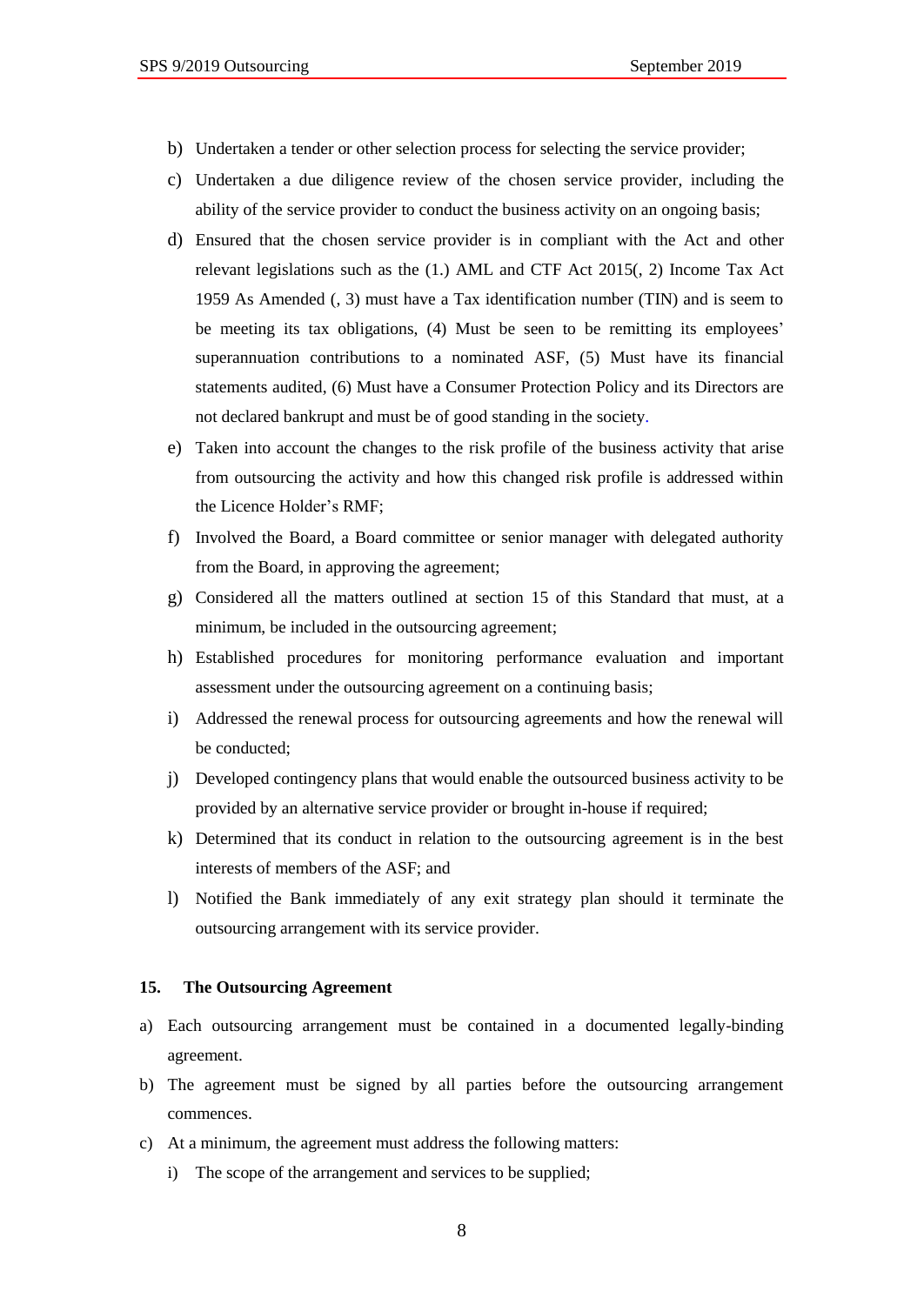- b) Undertaken a tender or other selection process for selecting the service provider;
- c) Undertaken a due diligence review of the chosen service provider, including the ability of the service provider to conduct the business activity on an ongoing basis;
- d) Ensured that the chosen service provider is in compliant with the Act and other relevant legislations such as the (1.) AML and CTF Act 2015(, 2) Income Tax Act 1959 As Amended (, 3) must have a Tax identification number (TIN) and is seem to be meeting its tax obligations, (4) Must be seen to be remitting its employees' superannuation contributions to a nominated ASF, (5) Must have its financial statements audited, (6) Must have a Consumer Protection Policy and its Directors are not declared bankrupt and must be of good standing in the society.
- e) Taken into account the changes to the risk profile of the business activity that arise from outsourcing the activity and how this changed risk profile is addressed within the Licence Holder's RMF;
- f) Involved the Board, a Board committee or senior manager with delegated authority from the Board, in approving the agreement;
- g) Considered all the matters outlined at section 15 of this Standard that must, at a minimum, be included in the outsourcing agreement;
- h) Established procedures for monitoring performance evaluation and important assessment under the outsourcing agreement on a continuing basis;
- i) Addressed the renewal process for outsourcing agreements and how the renewal will be conducted;
- j) Developed contingency plans that would enable the outsourced business activity to be provided by an alternative service provider or brought in-house if required;
- k) Determined that its conduct in relation to the outsourcing agreement is in the best interests of members of the ASF; and
- l) Notified the Bank immediately of any exit strategy plan should it terminate the outsourcing arrangement with its service provider.

#### <span id="page-7-0"></span>**15. The Outsourcing Agreement**

- a) Each outsourcing arrangement must be contained in a documented legally-binding agreement.
- b) The agreement must be signed by all parties before the outsourcing arrangement commences.
- c) At a minimum, the agreement must address the following matters:
	- i) The scope of the arrangement and services to be supplied;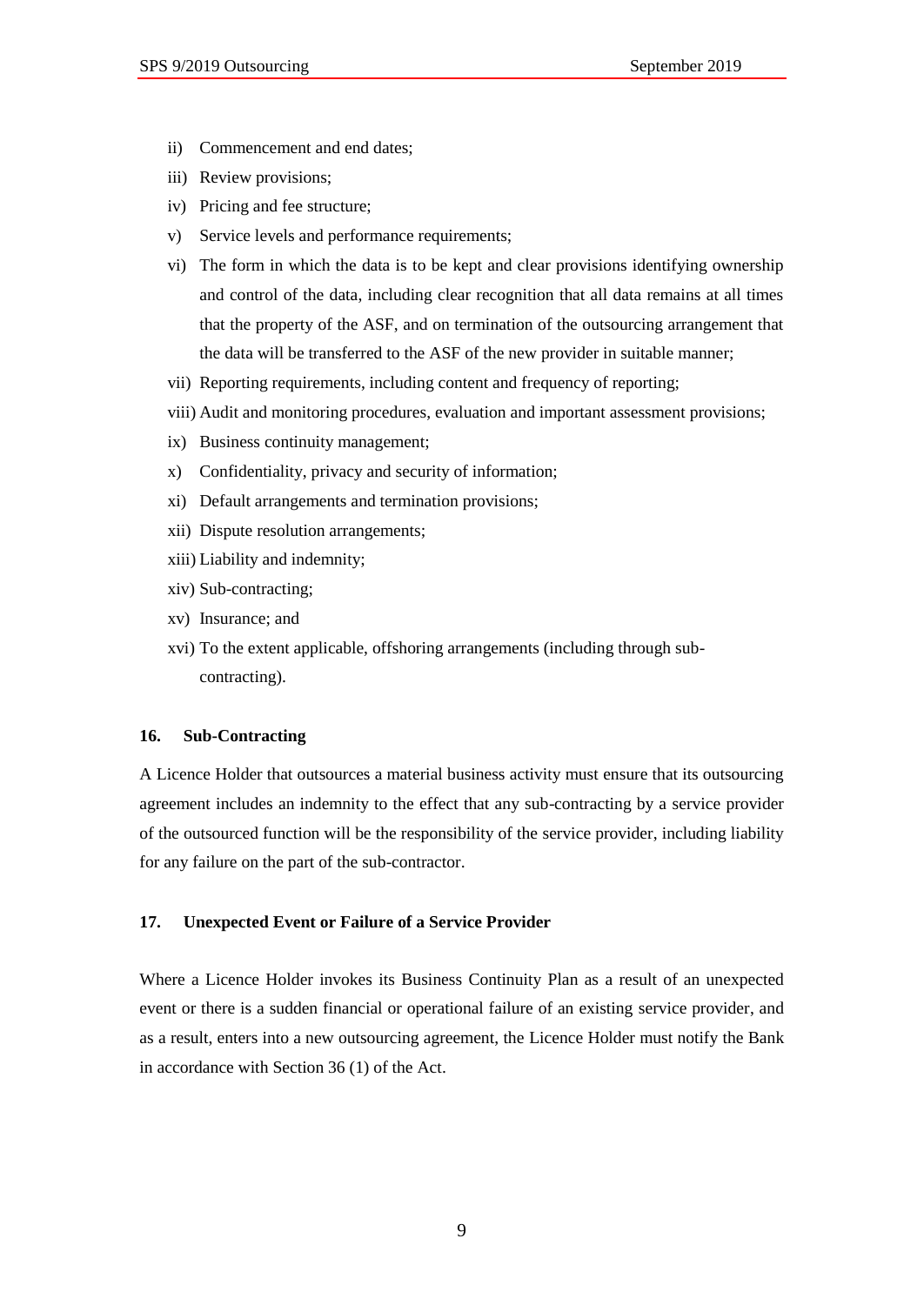- ii) Commencement and end dates;
- iii) Review provisions;
- iv) Pricing and fee structure;
- v) Service levels and performance requirements;
- vi) The form in which the data is to be kept and clear provisions identifying ownership and control of the data, including clear recognition that all data remains at all times that the property of the ASF, and on termination of the outsourcing arrangement that the data will be transferred to the ASF of the new provider in suitable manner;
- vii) Reporting requirements, including content and frequency of reporting;
- viii) Audit and monitoring procedures, evaluation and important assessment provisions;
- ix) Business continuity management;
- x) Confidentiality, privacy and security of information;
- xi) Default arrangements and termination provisions;
- xii) Dispute resolution arrangements;
- xiii) Liability and indemnity;
- xiv) Sub-contracting;
- xv) Insurance; and
- xvi) To the extent applicable, offshoring arrangements (including through subcontracting).

### <span id="page-8-0"></span>**16. Sub-Contracting**

A Licence Holder that outsources a material business activity must ensure that its outsourcing agreement includes an indemnity to the effect that any sub-contracting by a service provider of the outsourced function will be the responsibility of the service provider, including liability for any failure on the part of the sub-contractor.

#### <span id="page-8-1"></span>**17. Unexpected Event or Failure of a Service Provider**

Where a Licence Holder invokes its Business Continuity Plan as a result of an unexpected event or there is a sudden financial or operational failure of an existing service provider, and as a result, enters into a new outsourcing agreement, the Licence Holder must notify the Bank in accordance with Section 36 (1) of the Act.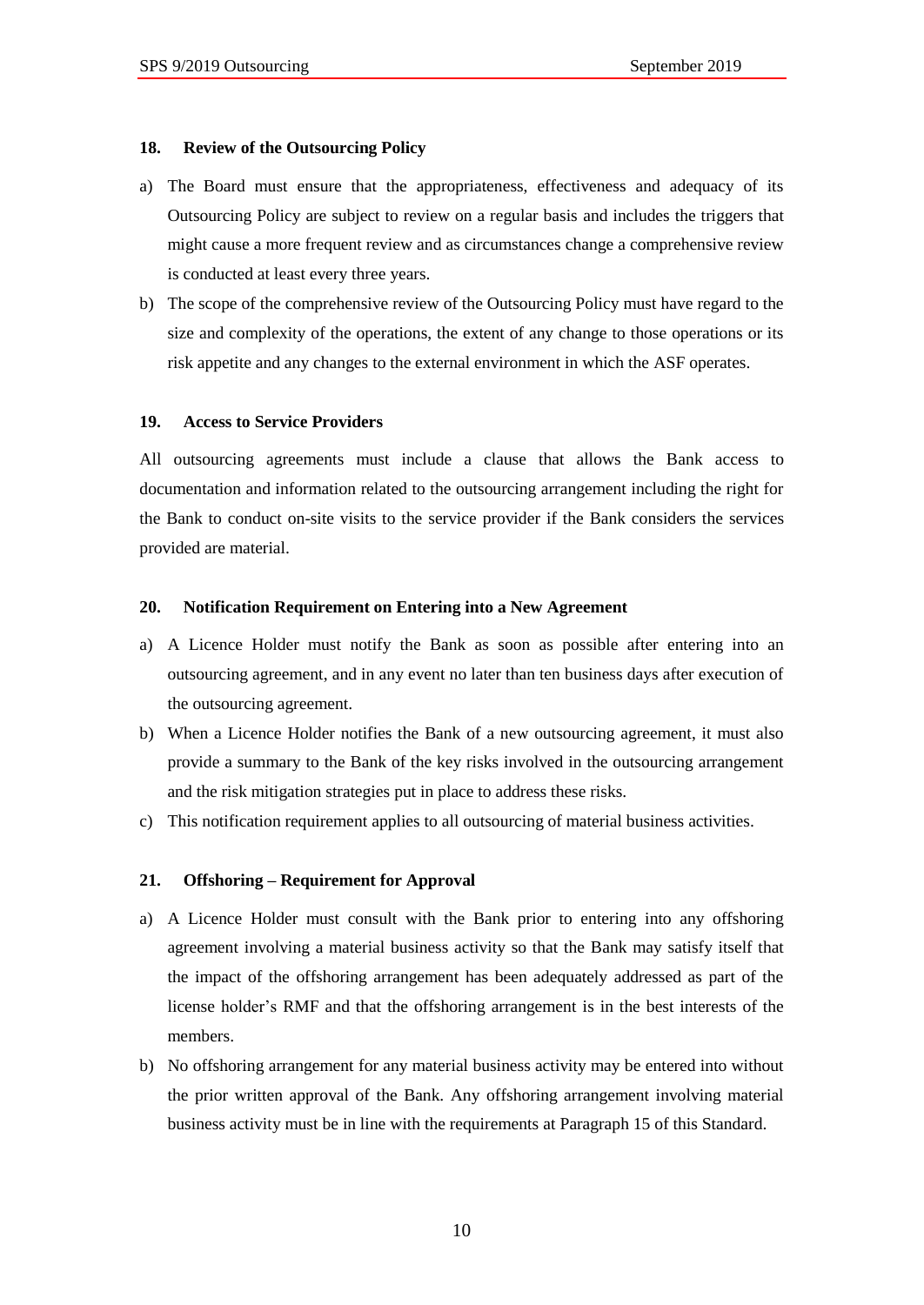#### <span id="page-9-0"></span>**18. Review of the Outsourcing Policy**

- a) The Board must ensure that the appropriateness, effectiveness and adequacy of its Outsourcing Policy are subject to review on a regular basis and includes the triggers that might cause a more frequent review and as circumstances change a comprehensive review is conducted at least every three years.
- b) The scope of the comprehensive review of the Outsourcing Policy must have regard to the size and complexity of the operations, the extent of any change to those operations or its risk appetite and any changes to the external environment in which the ASF operates.

#### <span id="page-9-1"></span>**19. Access to Service Providers**

All outsourcing agreements must include a clause that allows the Bank access to documentation and information related to the outsourcing arrangement including the right for the Bank to conduct on-site visits to the service provider if the Bank considers the services provided are material.

#### <span id="page-9-2"></span>**20. Notification Requirement on Entering into a New Agreement**

- a) A Licence Holder must notify the Bank as soon as possible after entering into an outsourcing agreement, and in any event no later than ten business days after execution of the outsourcing agreement.
- b) When a Licence Holder notifies the Bank of a new outsourcing agreement, it must also provide a summary to the Bank of the key risks involved in the outsourcing arrangement and the risk mitigation strategies put in place to address these risks.
- c) This notification requirement applies to all outsourcing of material business activities.

#### <span id="page-9-3"></span>**21. Offshoring – Requirement for Approval**

- a) A Licence Holder must consult with the Bank prior to entering into any offshoring agreement involving a material business activity so that the Bank may satisfy itself that the impact of the offshoring arrangement has been adequately addressed as part of the license holder's RMF and that the offshoring arrangement is in the best interests of the members.
- b) No offshoring arrangement for any material business activity may be entered into without the prior written approval of the Bank. Any offshoring arrangement involving material business activity must be in line with the requirements at Paragraph 15 of this Standard.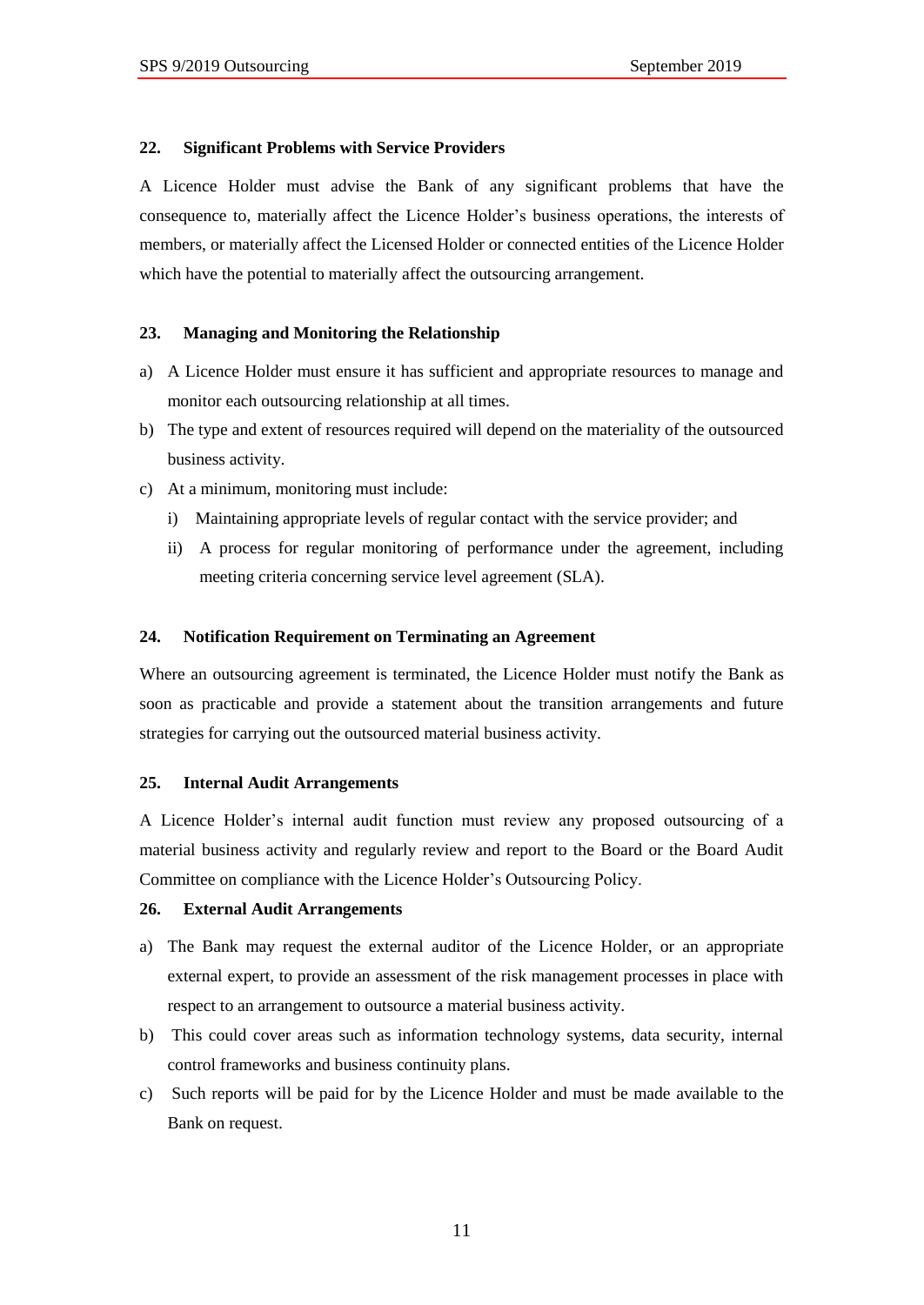#### <span id="page-10-0"></span>**22. Significant Problems with Service Providers**

A Licence Holder must advise the Bank of any significant problems that have the consequence to, materially affect the Licence Holder's business operations, the interests of members, or materially affect the Licensed Holder or connected entities of the Licence Holder which have the potential to materially affect the outsourcing arrangement.

### <span id="page-10-1"></span>**23. Managing and Monitoring the Relationship**

- a) A Licence Holder must ensure it has sufficient and appropriate resources to manage and monitor each outsourcing relationship at all times.
- b) The type and extent of resources required will depend on the materiality of the outsourced business activity.
- c) At a minimum, monitoring must include:
	- i) Maintaining appropriate levels of regular contact with the service provider; and
	- ii) A process for regular monitoring of performance under the agreement, including meeting criteria concerning service level agreement (SLA).

#### <span id="page-10-2"></span>**24. Notification Requirement on Terminating an Agreement**

Where an outsourcing agreement is terminated, the Licence Holder must notify the Bank as soon as practicable and provide a statement about the transition arrangements and future strategies for carrying out the outsourced material business activity.

#### <span id="page-10-3"></span>**25. Internal Audit Arrangements**

A Licence Holder's internal audit function must review any proposed outsourcing of a material business activity and regularly review and report to the Board or the Board Audit Committee on compliance with the Licence Holder's Outsourcing Policy.

#### <span id="page-10-4"></span>**26. External Audit Arrangements**

- a) The Bank may request the external auditor of the Licence Holder, or an appropriate external expert, to provide an assessment of the risk management processes in place with respect to an arrangement to outsource a material business activity.
- b) This could cover areas such as information technology systems, data security, internal control frameworks and business continuity plans.
- c) Such reports will be paid for by the Licence Holder and must be made available to the Bank on request.